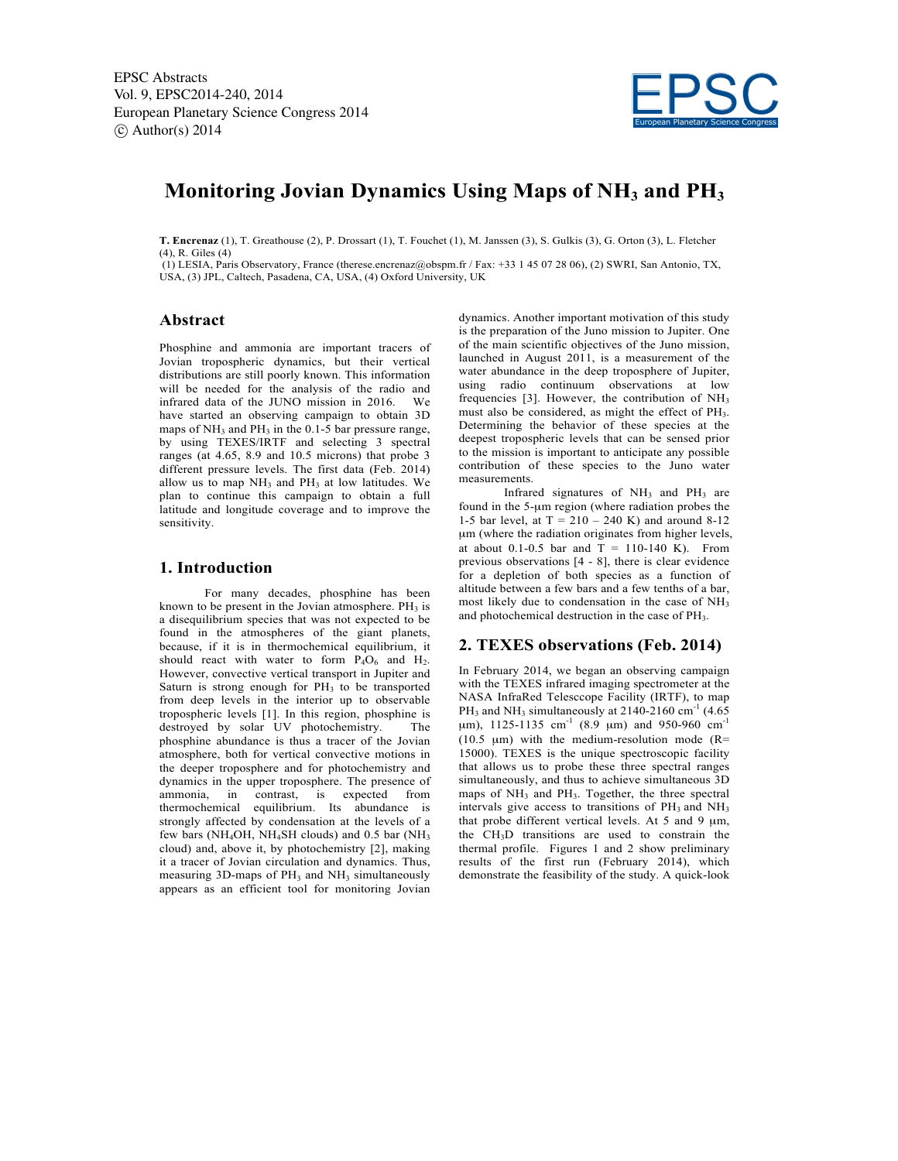

# **Monitoring Jovian Dynamics Using Maps of NH3 and PH3**

**T. Encrenaz** (1), T. Greathouse (2), P. Drossart (1), T. Fouchet (1), M. Janssen (3), S. Gulkis (3), G. Orton (3), L. Fletcher (4), R. Giles (4)

(1) LESIA, Paris Observatory, France (therese.encrenaz@obspm.fr / Fax: +33 1 45 07 28 06), (2) SWRI, San Antonio, TX, USA, (3) JPL, Caltech, Pasadena, CA, USA, (4) Oxford University, UK

### **Abstract**

Phosphine and ammonia are important tracers of Jovian tropospheric dynamics, but their vertical distributions are still poorly known. This information will be needed for the analysis of the radio and infrared data of the JUNO mission in 2016. We have started an observing campaign to obtain 3D maps of  $NH<sub>3</sub>$  and  $PH<sub>3</sub>$  in the 0.1-5 bar pressure range, by using TEXES/IRTF and selecting 3 spectral ranges (at 4.65, 8.9 and 10.5 microns) that probe 3 different pressure levels. The first data (Feb. 2014) allow us to map  $NH<sub>3</sub>$  and  $PH<sub>3</sub>$  at low latitudes. We plan to continue this campaign to obtain a full latitude and longitude coverage and to improve the sensitivity.

#### **1. Introduction**

For many decades, phosphine has been known to be present in the Jovian atmosphere.  $PH_3$  is a disequilibrium species that was not expected to be found in the atmospheres of the giant planets, because, if it is in thermochemical equilibrium, it should react with water to form  $P_4O_6$  and  $H_2$ . However, convective vertical transport in Jupiter and Saturn is strong enough for  $PH_3$  to be transported from deep levels in the interior up to observable tropospheric levels [1]. In this region, phosphine is destroyed by solar UV photochemistry. The phosphine abundance is thus a tracer of the Jovian atmosphere, both for vertical convective motions in the deeper troposphere and for photochemistry and dynamics in the upper troposphere. The presence of ammonia, in contrast, is expected from thermochemical equilibrium. Its abundance is strongly affected by condensation at the levels of a few bars (NH<sub>4</sub>OH, NH<sub>4</sub>SH clouds) and  $0.5$  bar (NH<sub>3</sub>) cloud) and, above it, by photochemistry [2], making it a tracer of Jovian circulation and dynamics. Thus, measuring  $3D$ -maps of  $PH_3$  and  $NH_3$  simultaneously appears as an efficient tool for monitoring Jovian dynamics. Another important motivation of this study is the preparation of the Juno mission to Jupiter. One of the main scientific objectives of the Juno mission, launched in August 2011, is a measurement of the water abundance in the deep troposphere of Jupiter, using radio continuum observations at low frequencies  $[3]$ . However, the contribution of NH<sub>3</sub> must also be considered, as might the effect of PH<sub>3</sub>. Determining the behavior of these species at the deepest tropospheric levels that can be sensed prior to the mission is important to anticipate any possible contribution of these species to the Juno water measurements.

Infrared signatures of  $NH_3$  and  $PH_3$  are found in the 5-µm region (where radiation probes the 1-5 bar level, at  $T = 210 - 240$  K) and around 8-12 µm (where the radiation originates from higher levels, at about 0.1-0.5 bar and  $T = 110-140$  K). From previous observations [4 - 8], there is clear evidence for a depletion of both species as a function of altitude between a few bars and a few tenths of a bar, most likely due to condensation in the case of NH3 and photochemical destruction in the case of PH<sub>3</sub>.

### **2. TEXES observations (Feb. 2014)**

In February 2014, we began an observing campaign with the TEXES infrared imaging spectrometer at the NASA InfraRed Telesccope Facility (IRTF), to map PH<sub>3</sub> and NH<sub>3</sub> simultaneously at 2140-2160  $\text{cm}^{-1}$  (4.65)  $\mu$ m), 1125-1135 cm<sup>-1</sup> (8.9  $\mu$ m) and 950-960 cm<sup>-1</sup> (10.5  $\mu$ m) with the medium-resolution mode (R= 15000). TEXES is the unique spectroscopic facility that allows us to probe these three spectral ranges simultaneously, and thus to achieve simultaneous 3D maps of  $NH_3$  and  $PH_3$ . Together, the three spectral intervals give access to transitions of  $PH_3$  and  $NH_3$ that probe different vertical levels. At 5 and 9 µm, the CH3D transitions are used to constrain the thermal profile. Figures 1 and 2 show preliminary results of the first run (February 2014), which demonstrate the feasibility of the study. A quick-look